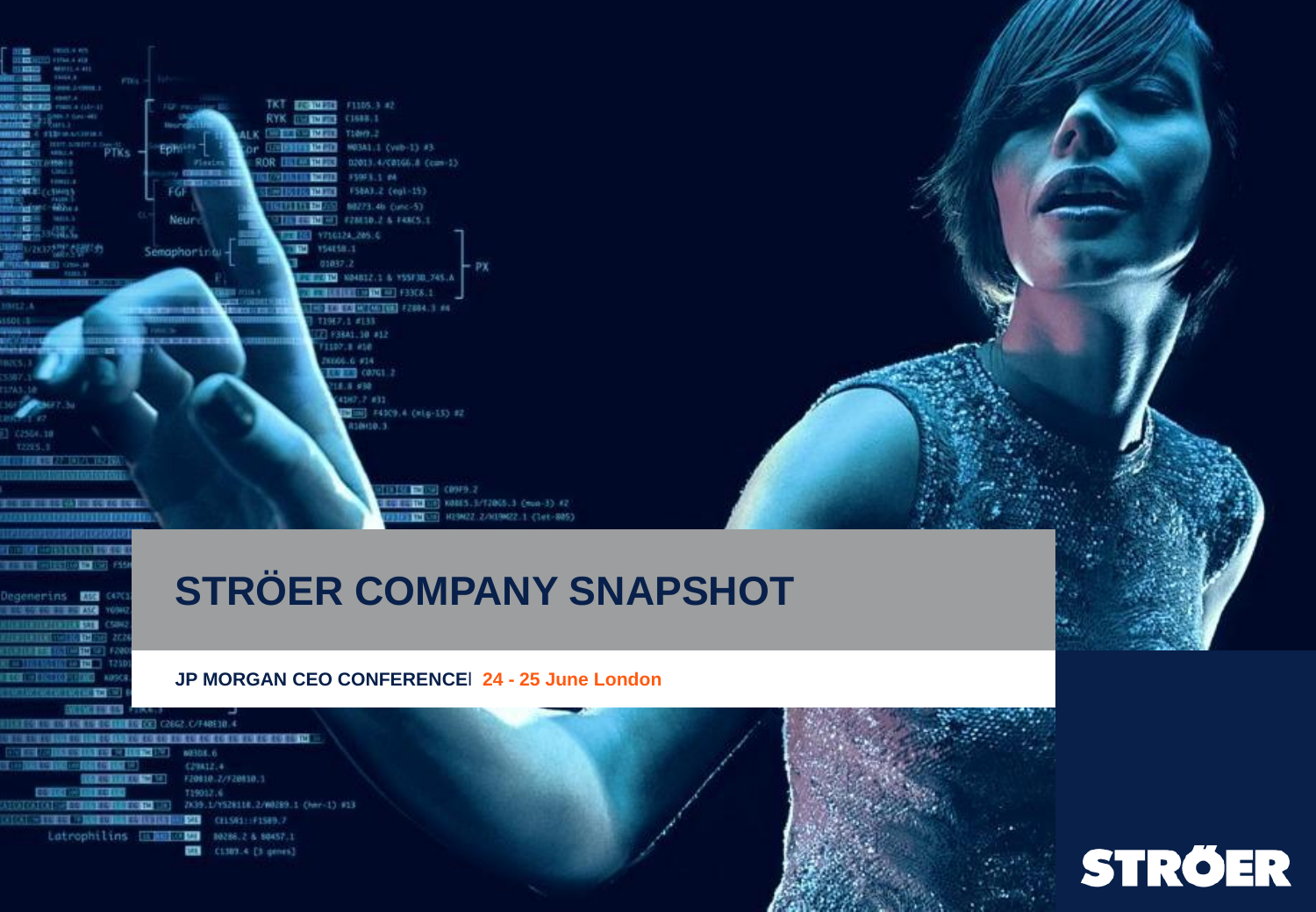

# **STRÖER COMPANY SNAPSHOT**

#### **JP MORGAN CEO CONFERENCE**l **24 - 25 June London**

C2062 C/F40F10.4 **IN THE RE RE FR FR FR FR FR THE NE3DS.6** C29812.4 F20810.2/F20810.1 719012.6 AUCATORE - ECONOMIC COMPOSITION 20039.1/YS28118.2/W0289.1 (her-1) #13 **CAL - THEM - REPORT FOR FAILS AND RESIDENTS OF A STATE OF A STATE OF A STATE OF A STATE OF A STATE OF A STATE** Latrophilins ELMENTED NORMALS MAST.1 **EZE** C1389.4 [3 genes]

egenerins ERE

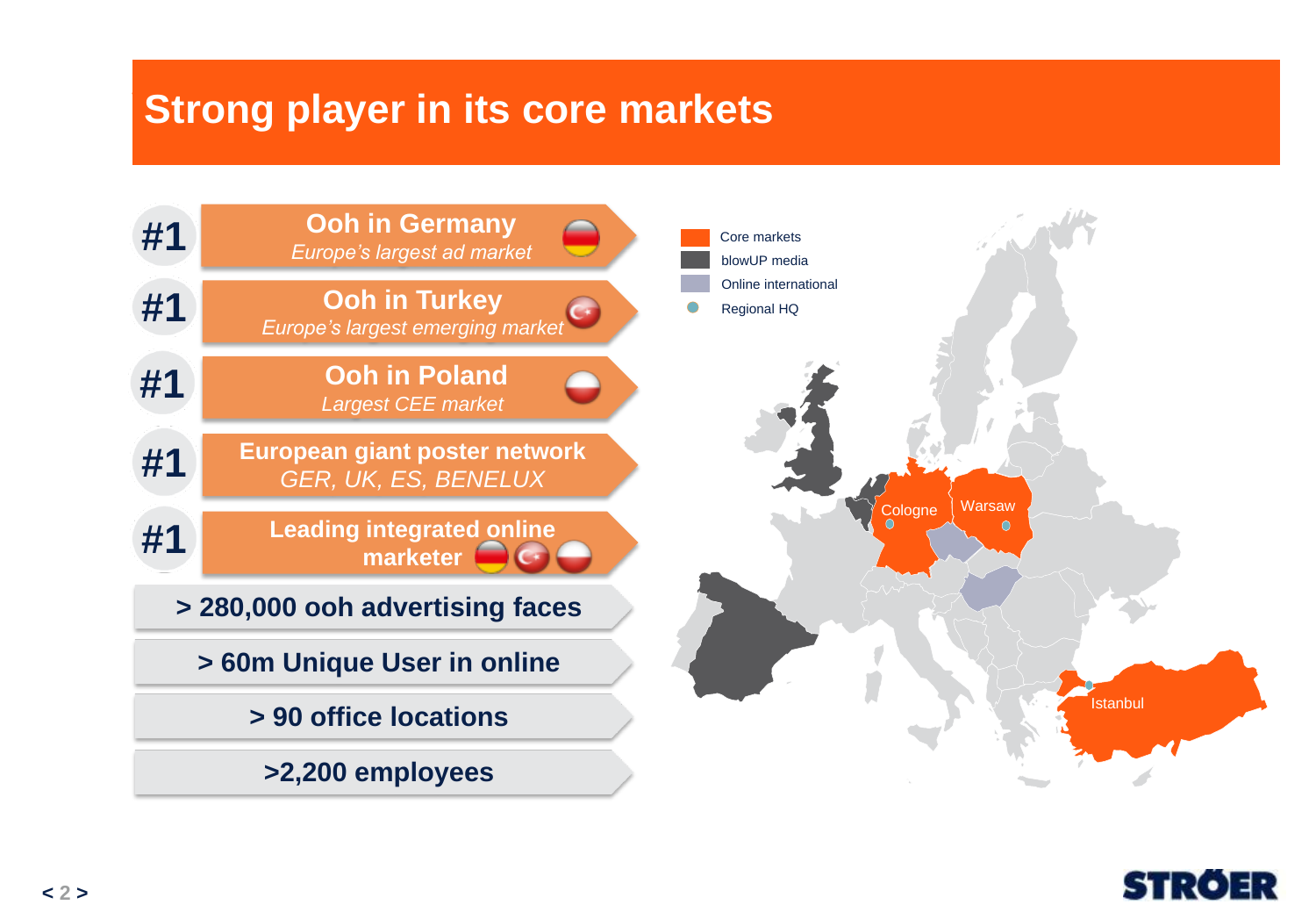#### **Strong Player in its Core Markets Strong player in its core markets**



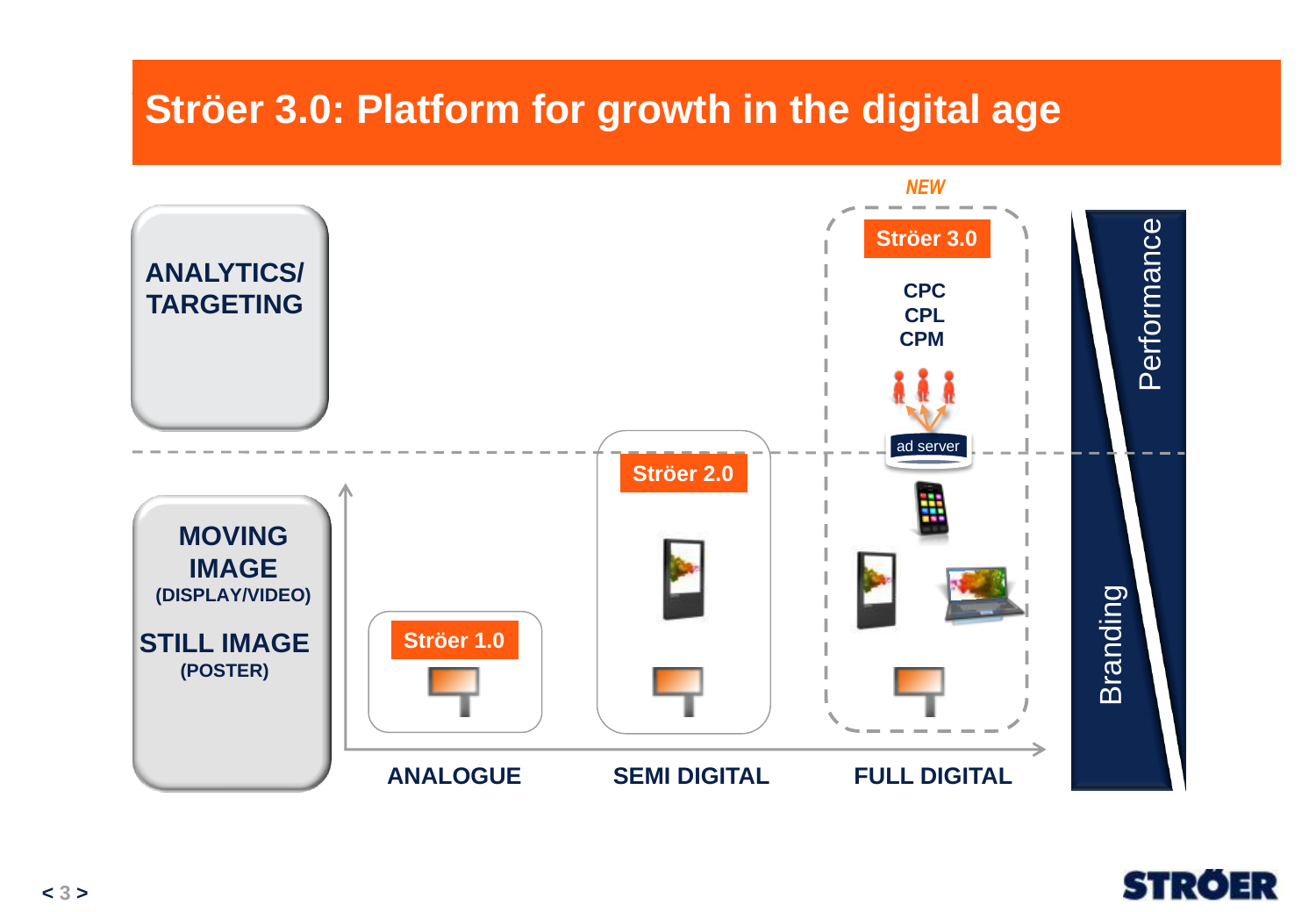#### **Ströer 3.0: Platform for Sustainable Growth in the Digital Age Ströer 3.0: Platform for growth in the digital age**



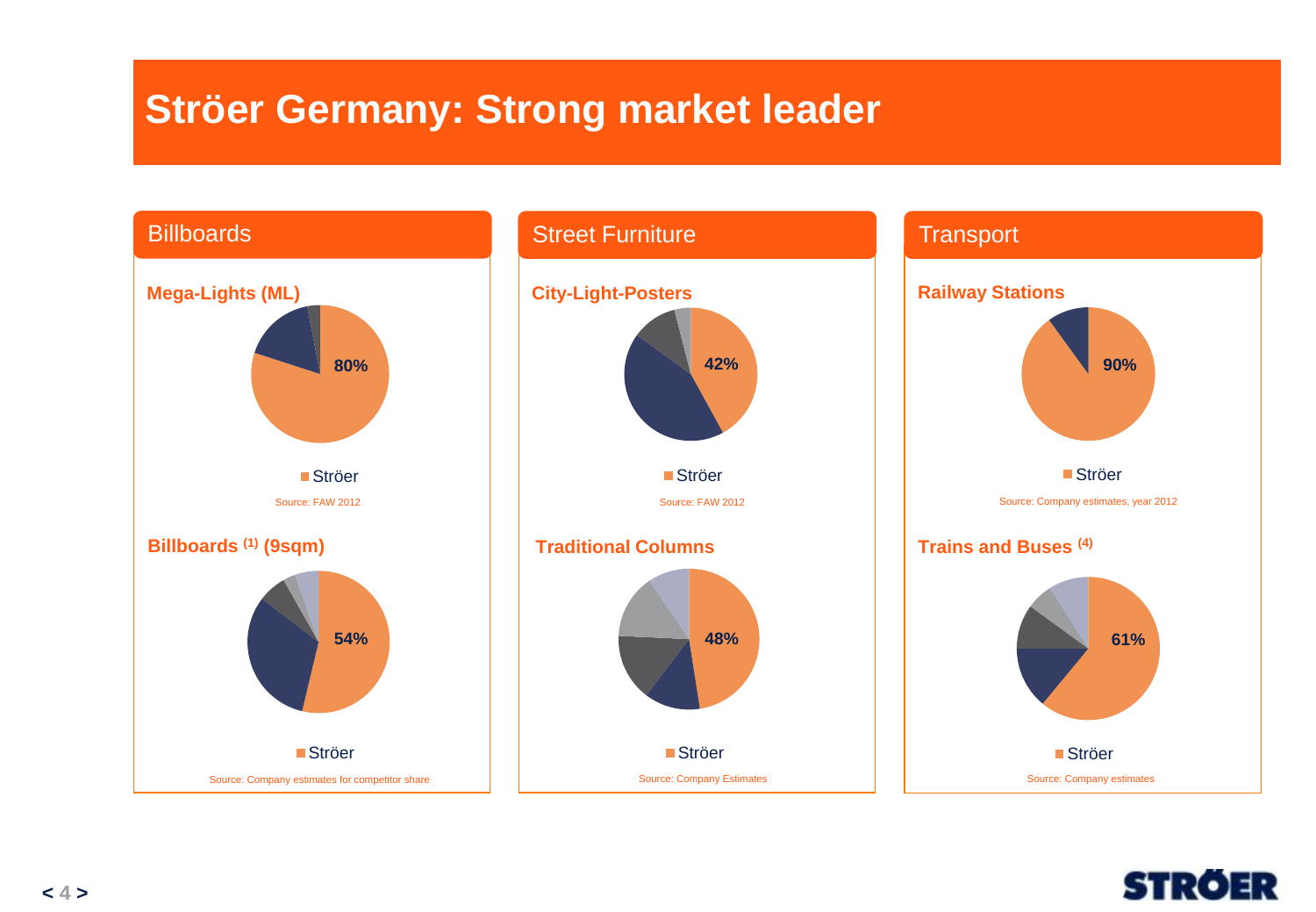## **Ströer Germany: Strong market leader**



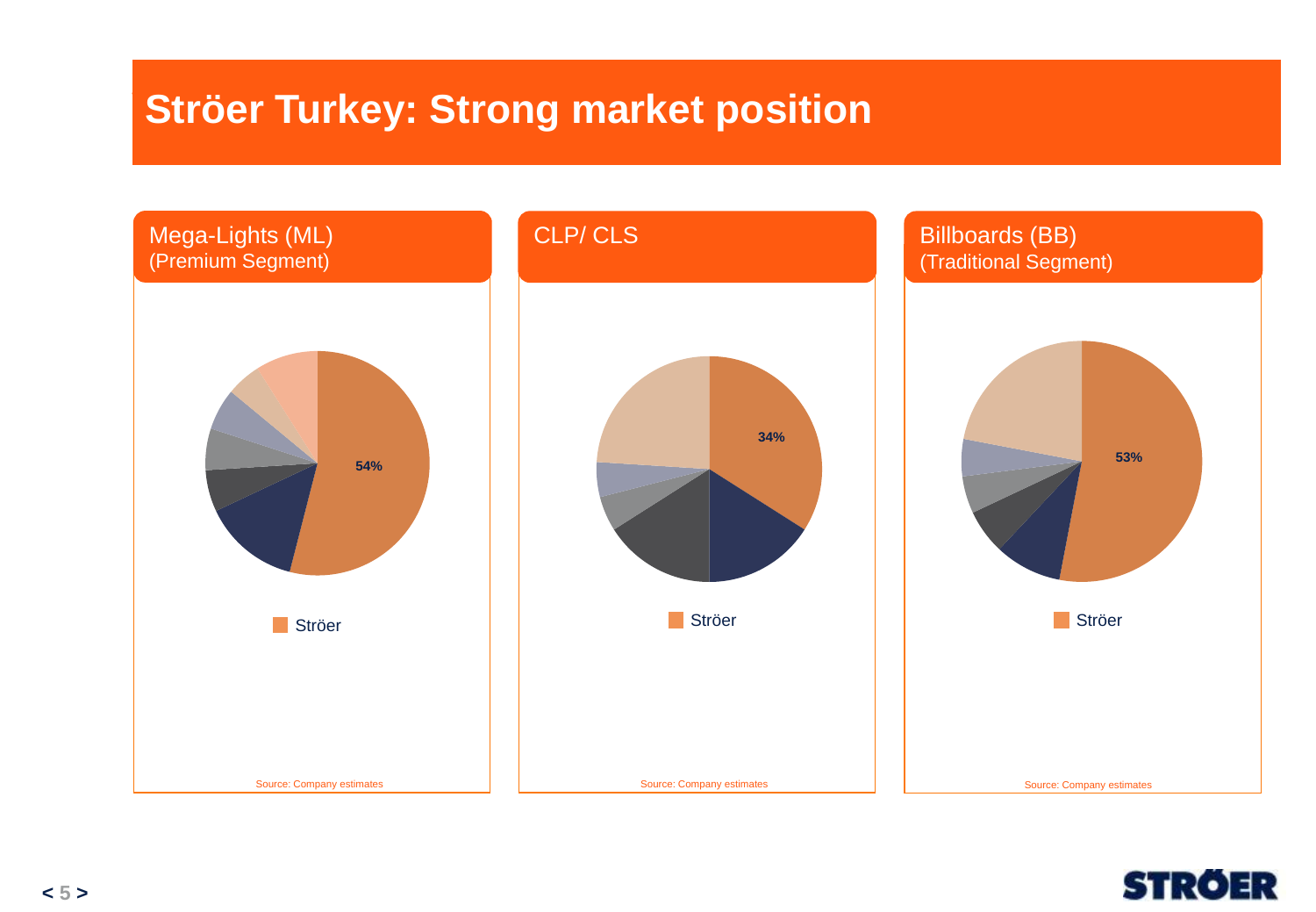#### **Ströer Turkey – Competition & Market Ströer Turkey: Strong market position**



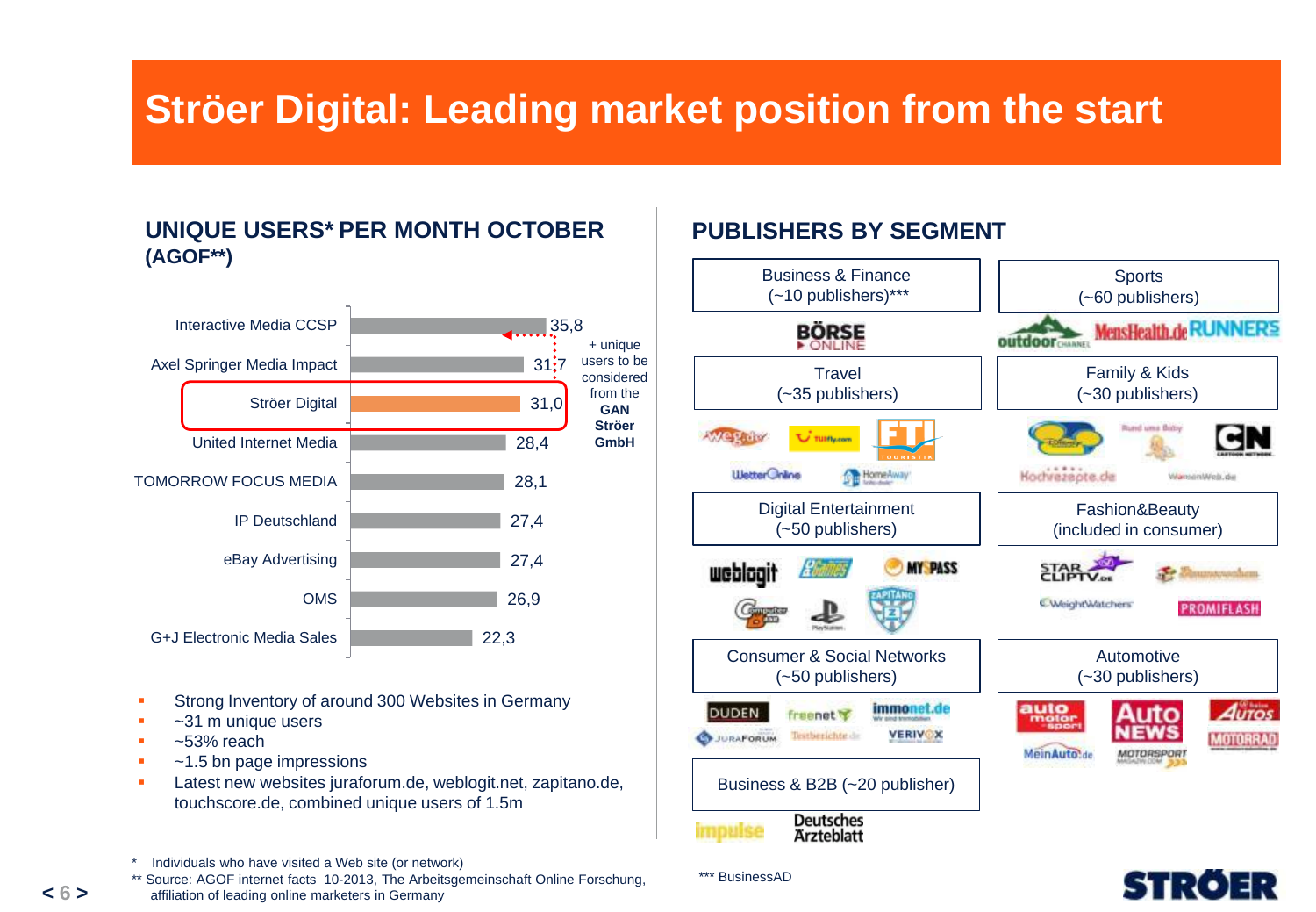## **Ströer Digital: Leading market position from the start**

#### **UNIQUE USERS\* PER MONTH OCTOBER (AGOF\*\*)**



- Strong Inventory of around 300 Websites in Germany
- ~31 m unique users
- ~53% reach
- ~1.5 bn page impressions
- Latest new websites juraforum.de, weblogit.net, zapitano.de, touchscore.de, combined unique users of 1.5m

affiliation of leading online marketers in Germany

#### **PUBLISHERS BY SEGMENT**

\*\*\* BusinessAD





Individuals who have visited a Web site (or network)

<sup>\*\*</sup> Source: AGOF internet facts 10-2013, The Arbeitsgemeinschaft Online Forschung,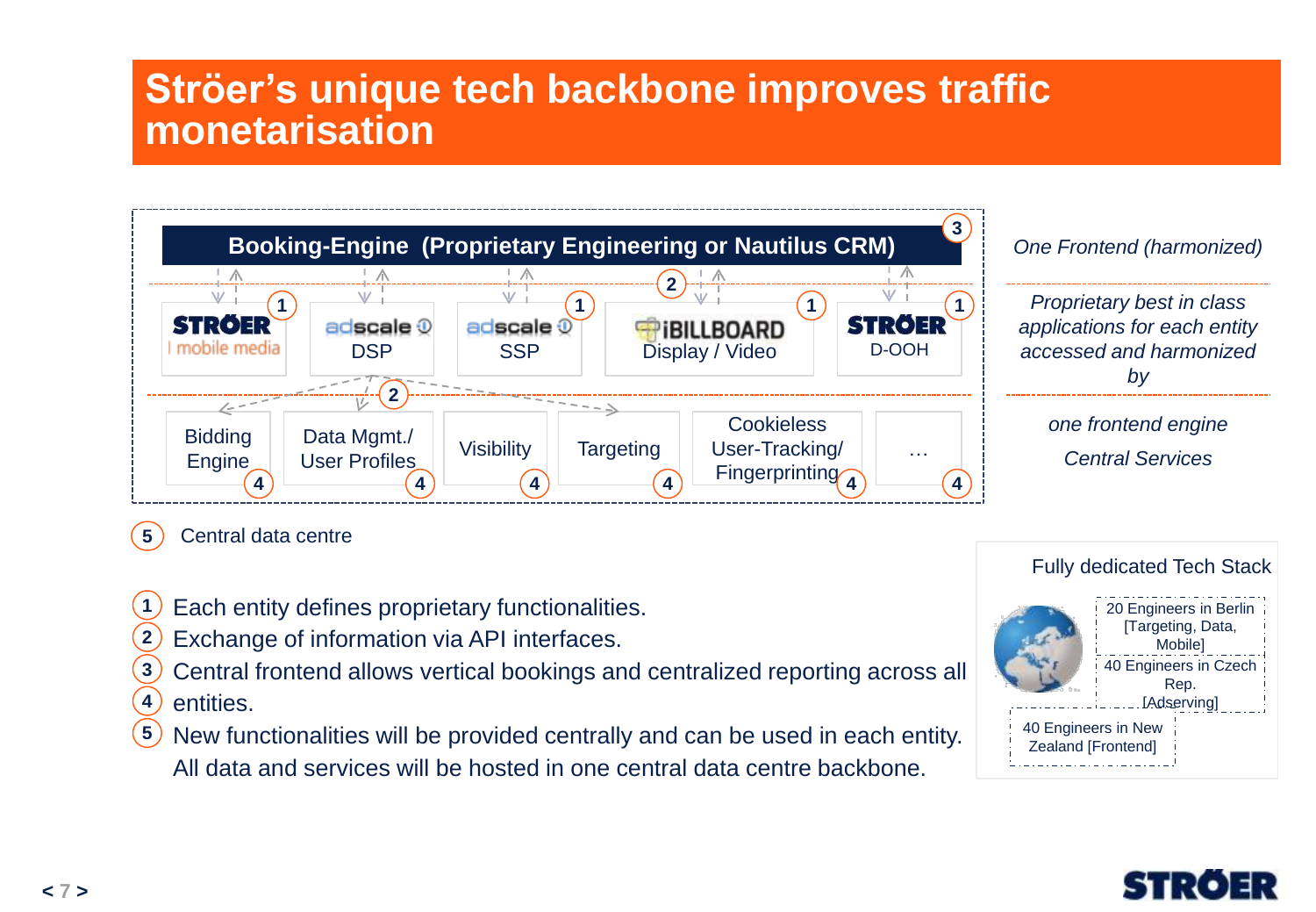### **Ströer's unique tech backbone improves traffic monetarisation**



**5** Central data centre

- **1** Each entity defines proprietary functionalities.
- Exchange of information via API interfaces. **2**
- Central frontend allows vertical bookings and centralized reporting across all **3**
- entities. **4**
- New functionalities will be provided centrally and can be used in each entity. All data and services will be hosted in one central data centre backbone. **5**

#### 40 Engineers in Czech Rep. **LAdservingl** 20 Engineers in Berlin [Targeting, Data, Mobile] Fully dedicated Tech Stack

- 40 Engineers in New Zealand [Frontend]
- 

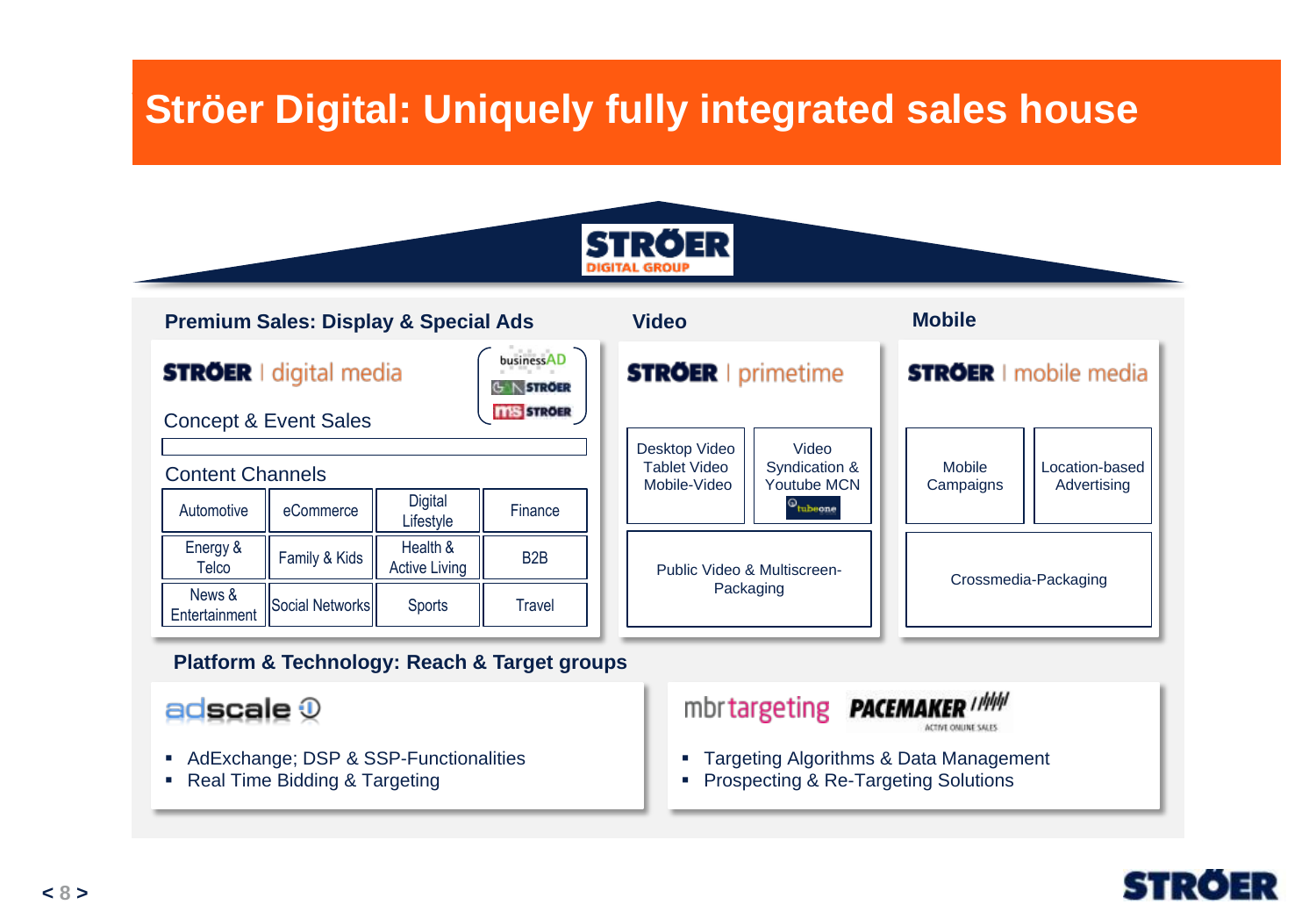#### **Ströer Digital: Hnique** Fullo *B*ughan omquery füng meghated saled **Ströer Digital: Uniquely fully integrated sales house**



| <b>Premium Sales: Display &amp; Special Ads</b>                                                                          |                        |                                  |                           | <b>Video</b>                                  |                                                               |                     | <b>Mobile</b>                 |  |
|--------------------------------------------------------------------------------------------------------------------------|------------------------|----------------------------------|---------------------------|-----------------------------------------------|---------------------------------------------------------------|---------------------|-------------------------------|--|
| businessAD<br><b>STRÖER</b> I digital media<br><b>N STROER</b><br><b>TTIS STROER</b><br><b>Concept &amp; Event Sales</b> |                        |                                  | <b>STRÖER</b>   primetime |                                               | <b>STRÖER</b> I mobile media                                  |                     |                               |  |
| <b>Content Channels</b>                                                                                                  |                        | <b>Digital</b>                   |                           | Desktop Video<br>Tablet Video<br>Mobile-Video | Video<br>Syndication &<br>Youtube MCN<br><sup>©</sup> tubeone | Mobile<br>Campaigns | Location-based<br>Advertising |  |
| Automotive                                                                                                               | eCommerce              | Lifestyle                        | Finance                   |                                               |                                                               |                     |                               |  |
| Energy &<br>Telco                                                                                                        | Family & Kids          | Health &<br><b>Active Living</b> | B <sub>2</sub> B          |                                               | Public Video & Multiscreen-<br>Packaging                      |                     | Crossmedia-Packaging          |  |
| News &<br>Entertainment                                                                                                  | <b>Social Networks</b> | <b>Sports</b>                    | Travel                    |                                               |                                                               |                     |                               |  |

#### **Platform & Technology: Reach & Target groups**

adscale  $\mathcal{D}$ 

- AdExchange; DSP & SSP-Functionalities
- Real Time Bidding & Targeting



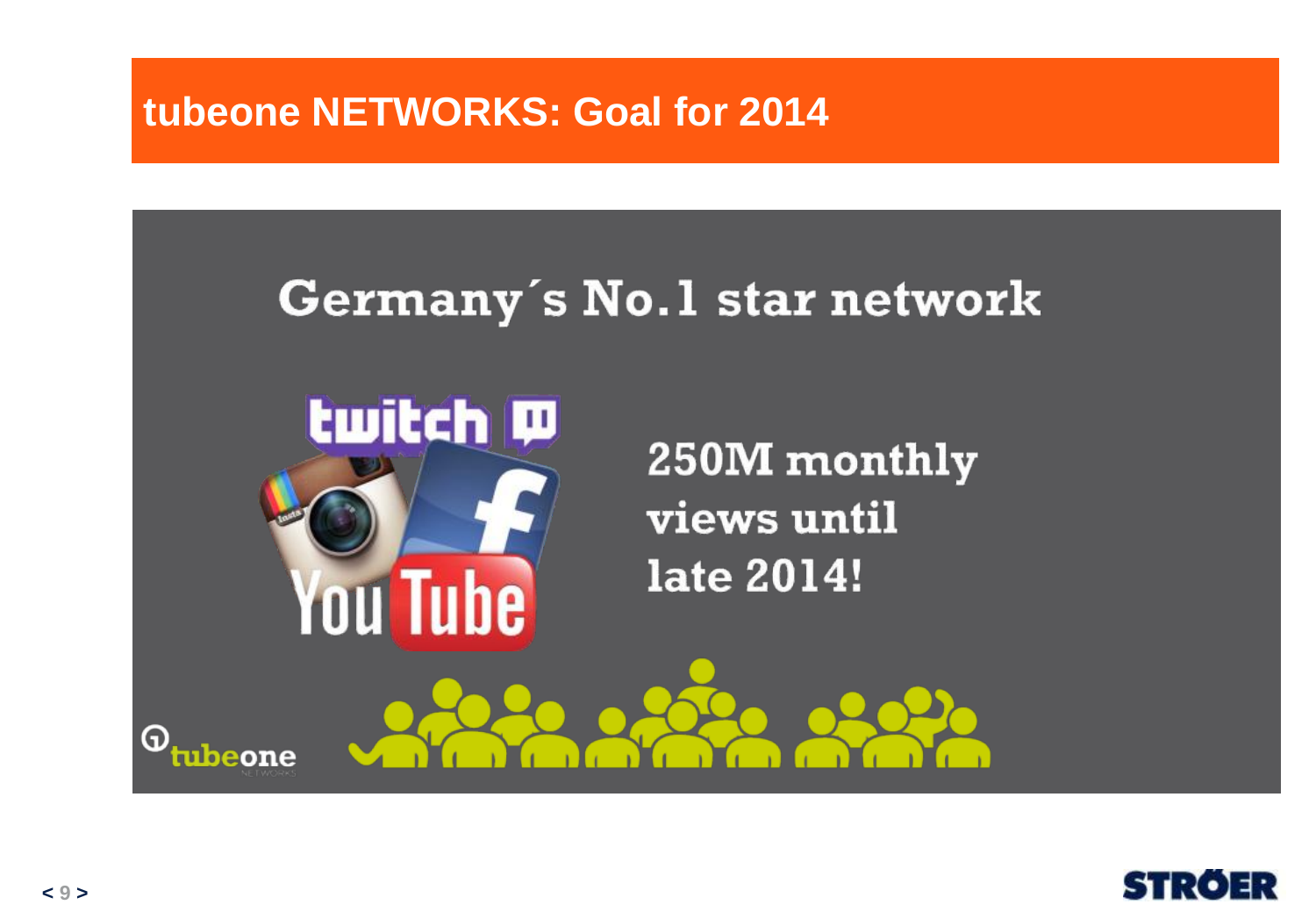### **tubeone NETWORKS: Goal for 2014**

# Germany's No.1 star network



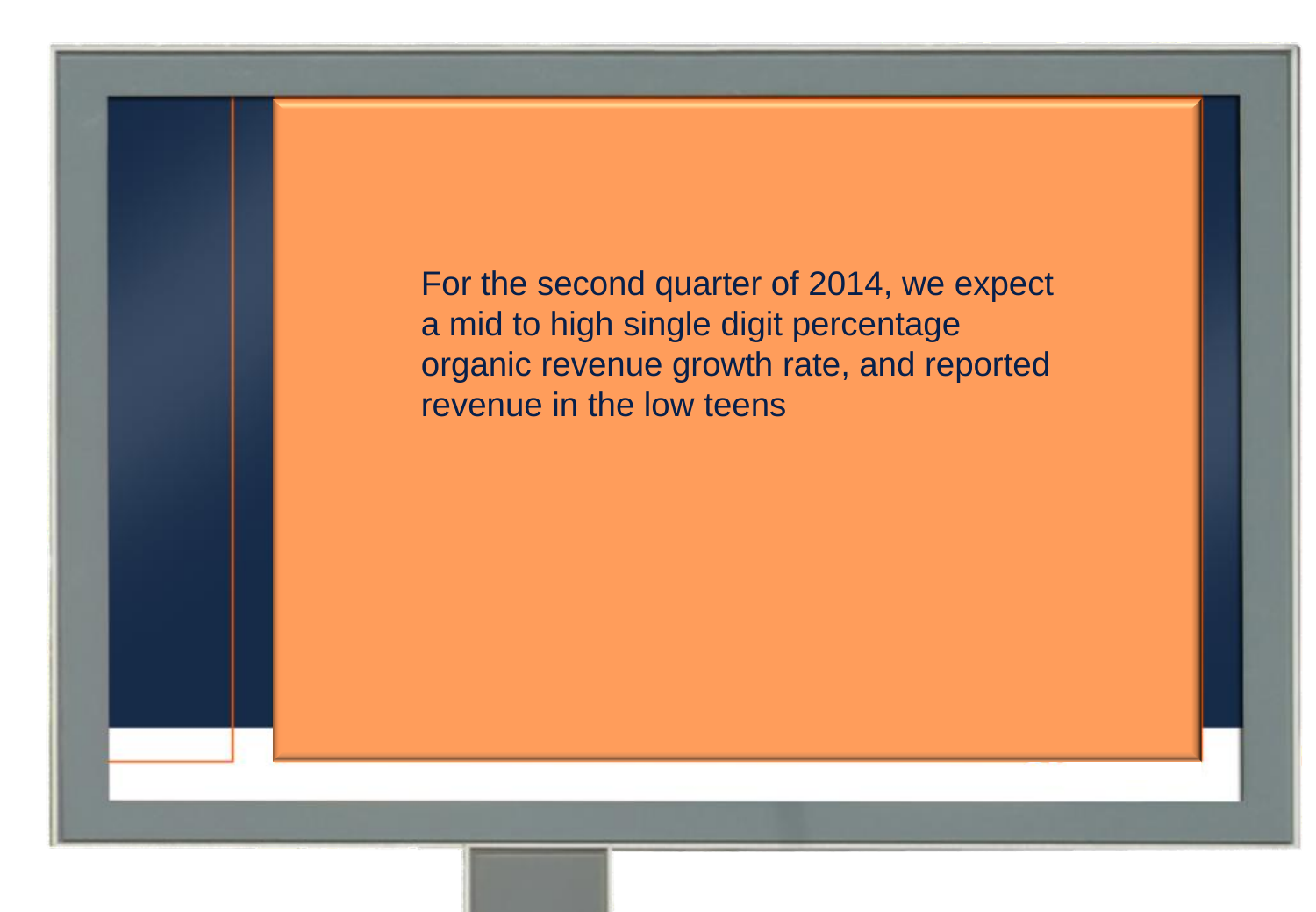For the second quarter of 2014, we expect a mid to high single digit percentage organic revenue growth rate, and reported revenue in the low teens